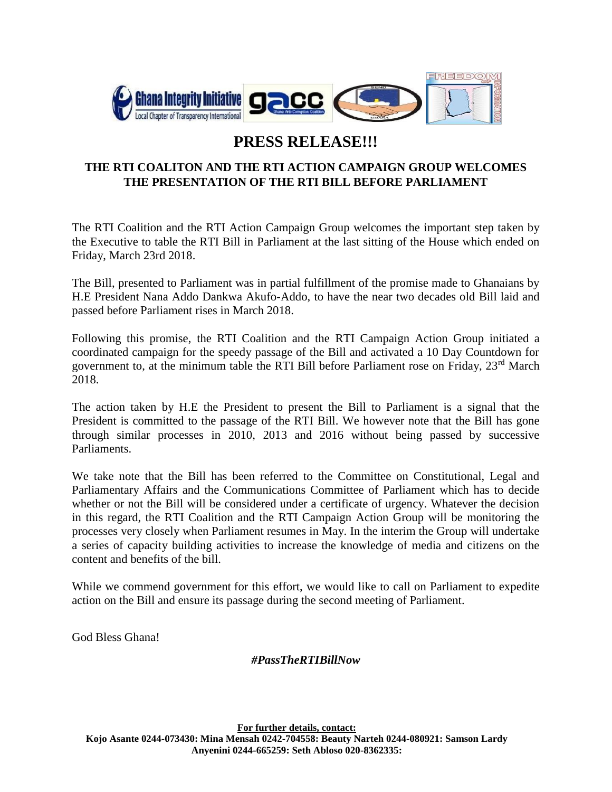

## **PRESS RELEASE!!!**

## **THE RTI COALITON AND THE RTI ACTION CAMPAIGN GROUP WELCOMES THE PRESENTATION OF THE RTI BILL BEFORE PARLIAMENT**

The RTI Coalition and the RTI Action Campaign Group welcomes the important step taken by the Executive to table the RTI Bill in Parliament at the last sitting of the House which ended on Friday, March 23rd 2018.

The Bill, presented to Parliament was in partial fulfillment of the promise made to Ghanaians by H.E President Nana Addo Dankwa Akufo-Addo, to have the near two decades old Bill laid and passed before Parliament rises in March 2018.

Following this promise, the RTI Coalition and the RTI Campaign Action Group initiated a coordinated campaign for the speedy passage of the Bill and activated a 10 Day Countdown for government to, at the minimum table the RTI Bill before Parliament rose on Friday, 23rd March 2018.

The action taken by H.E the President to present the Bill to Parliament is a signal that the President is committed to the passage of the RTI Bill. We however note that the Bill has gone through similar processes in 2010, 2013 and 2016 without being passed by successive Parliaments.

We take note that the Bill has been referred to the Committee on Constitutional, Legal and Parliamentary Affairs and the Communications Committee of Parliament which has to decide whether or not the Bill will be considered under a certificate of urgency. Whatever the decision in this regard, the RTI Coalition and the RTI Campaign Action Group will be monitoring the processes very closely when Parliament resumes in May. In the interim the Group will undertake a series of capacity building activities to increase the knowledge of media and citizens on the content and benefits of the bill.

While we commend government for this effort, we would like to call on Parliament to expedite action on the Bill and ensure its passage during the second meeting of Parliament.

God Bless Ghana!

## *#PassTheRTIBillNow*